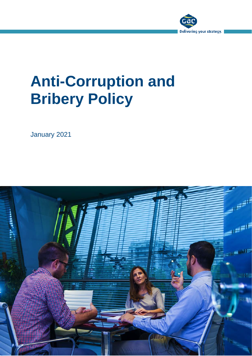

January 2021

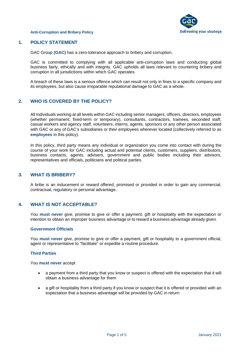



# **1. POLICY STATEMENT**

GAC Group **(GAC)** has a zero-tolerance approach to bribery and corruption.

GAC is committed to complying with all applicable anti-corruption laws and conducting global business fairly, ethically and with integrity. GAC upholds all laws relevant to countering bribery and corruption in all jurisdictions within which GAC operates.

A breach of these laws is a serious offence which can result not only in fines to a specific company and its employees, but also cause irreparable reputational damage to GAC as a whole.

# **2. WHO IS COVERED BY THE POLICY?**

All individuals working at all levels within GAC including senior managers, officers, directors, employees (whether permanent, fixed-term or temporary), consultants, contractors, trainees, seconded staff, casual workers and agency staff, volunteers, interns, agents, sponsors or any other person associated with GAC or any of GAC's subsidiaries or their employees wherever located (collectively referred to as **employees** in this policy).

In this policy, third party means any individual or organization you come into contact with during the course of your work for GAC including actual and potential clients, customers, suppliers, distributors, business contacts, agents, advisers, government and public bodies including their advisors, representatives and officials, politicians and political parties.

# **3. WHAT IS BRIBERY?**

A bribe is an inducement or reward offered, promised or provided in order to gain any commercial, contractual, regulatory or personal advantage.

# **4. WHAT IS NOT ACCEPTABLE?**

You **must never** give, promise to give or offer a payment, gift or hospitality with the expectation or intention to obtain an improper business advantage or to reward a business advantage already given.

#### **Government Officials**

You **must never** give, promise to give or offer a payment, gift or hospitality to a government official, agent or representative to "facilitate" or expedite a routine procedure.

#### **Third Parties**

You **must never** accept

- a payment from a third party that you know or suspect is offered with the expectation that it will obtain a business advantage for them
- a gift or hospitality from a third party if you know or suspect that it is offered or provided with an expectation that a business advantage will be provided by GAC in return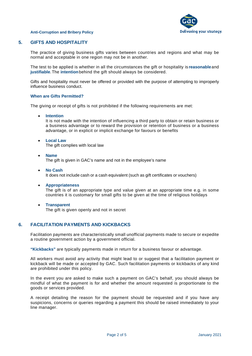

# **5. GIFTS AND HOSPITALITY**

The practice of giving business gifts varies between countries and regions and what may be normal and acceptable in one region may not be in another.

The test to be applied is whether in all the circumstances the gift or hospitality is **reasonable**and **justifiable**.The **intention**behind the gift should always be considered.

Gifts and hospitality must never be offered or provided with the purpose of attempting to improperly influence business conduct.

#### **When are Gifts Permitted?**

The giving or receipt of gifts is not prohibited if the following requirements are met:

• **Intention**

It is not made with the intention of influencing a third party to obtain or retain business or a business advantage or to reward the provision or retention of business or a business advantage, or in explicit or implicit exchange for favours or benefits

- **Local Law** The gift complies with local law
- **Name** The gift is given in GAC's name and not in the employee's name
- **No Cash** It does not include cash or a cash equivalent (such as gift certificates or vouchers)
- **Appropriateness** The gift is of an appropriate type and value given at an appropriate time e.g. in some countries it is customary for small gifts to be given at the time of religious holidays
- **Transparent** The gift is given openly and not in secret

**6. FACILITATION PAYMENTS AND KICKBACKS**

Facilitation payments are characteristically small unofficial payments made to secure or expedite a routine government action by a government official.

**"Kickbacks"** are typically payments made in return for a business favour or advantage.

All workers must avoid any activity that might lead to or suggest that a facilitation payment or kickback will be made or accepted by GAC. Such facilitation payments or kickbacks of any kind are prohibited under this policy.

In the event you are asked to make such a payment on GAC's behalf, you should always be mindful of what the payment is for and whether the amount requested is proportionate to the goods or services provided.

A receipt detailing the reason for the payment should be requested and if you have any suspicions, concerns or queries regarding a payment this should be raised immediately to your line manager.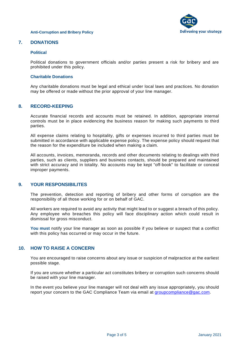

# **7. DONATIONS**

#### **Political**

Political donations to government officials and/or parties present a risk for bribery and are prohibited under this policy.

#### **Charitable Donations**

Any charitable donations must be legal and ethical under local laws and practices. No donation may be offered or made without the prior approval of your line manager.

### **8. RECORD-KEEPING**

Accurate financial records and accounts must be retained. In addition, appropriate internal controls must be in place evidencing the business reason for making such payments to third parties.

All expense claims relating to hospitality, gifts or expenses incurred to third parties must be submitted in accordance with applicable expense policy. The expense policy should request that the reason for the expenditure be included when making a claim.

All accounts, invoices, memoranda, records and other documents relating to dealings with third parties, such as clients, suppliers and business contacts, should be prepared and maintained with strict accuracy and in totality. No accounts may be kept "off-book" to facilitate or conceal improper payments.

# **9. YOUR RESPONSIBILITES**

The prevention, detection and reporting of bribery and other forms of corruption are the responsibility of all those working for or on behalf of GAC.

All workers are required to avoid any activity that might lead to or suggest a breach of this policy. Any employee who breaches this policy will face disciplinary action which could result in dismissal for gross misconduct.

**You must** notify your line manager as soon as possible if you believe or suspect that a conflict with this policy has occurred or may occur in the future.

# **10. HOW TO RAISE A CONCERN**

You are encouraged to raise concerns about any issue or suspicion of malpractice at the earliest possible stage.

If you are unsure whether a particular act constitutes bribery or corruption such concerns should be raised with your line manager.

In the event you believe your line manager will not deal with any issue appropriately, you should report your concern to the GAC Compliance Team via email at [groupcompliance@gac.com.](mailto:groupcompliance@gac.com)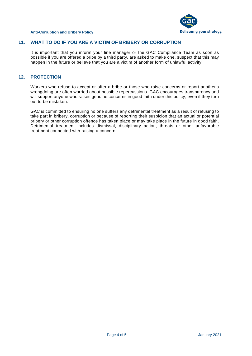

# **11. WHAT TO DO IF YOU ARE A VICTIM OF BRIBERY OR CORRUPTION**

It is important that you inform your line manager or the GAC Compliance Team as soon as possible if you are offered a bribe by a third party, are asked to make one, suspect that this may happen in the future or believe that you are a victim of another form of unlawful activity.

# **12. PROTECTION**

Workers who refuse to accept or offer a bribe or those who raise concerns or report another's wrongdoing are often worried about possible repercussions. GAC encourages transparency and will support anyone who raises genuine concerns in good faith under this policy, even if they turn out to be mistaken.

GAC is committed to ensuring no one suffers any detrimental treatment as a result of refusing to take part in bribery, corruption or because of reporting their suspicion that an actual or potential bribery or other corruption offence has taken place or may take place in the future in good faith. Detrimental treatment includes dismissal, disciplinary action, threats or other unfavorable treatment connected with raising a concern.